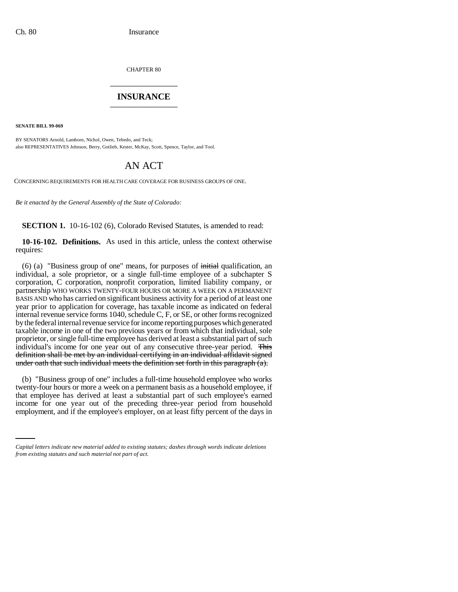CHAPTER 80 \_\_\_\_\_\_\_\_\_\_\_\_\_\_\_

## **INSURANCE** \_\_\_\_\_\_\_\_\_\_\_\_\_\_\_

**SENATE BILL 99-069** 

BY SENATORS Arnold, Lamborn, Nichol, Owen, Tebedo, and Teck; also REPRESENTATIVES Johnson, Berry, Gotlieb, Kester, McKay, Scott, Spence, Taylor, and Tool.

## AN ACT

CONCERNING REQUIREMENTS FOR HEALTH CARE COVERAGE FOR BUSINESS GROUPS OF ONE.

*Be it enacted by the General Assembly of the State of Colorado:*

**SECTION 1.** 10-16-102 (6), Colorado Revised Statutes, is amended to read:

**10-16-102. Definitions.** As used in this article, unless the context otherwise requires:

(6) (a) "Business group of one" means, for purposes of  $\frac{1}{\text{initial}}$  qualification, an individual, a sole proprietor, or a single full-time employee of a subchapter S corporation, C corporation, nonprofit corporation, limited liability company, or partnership WHO WORKS TWENTY-FOUR HOURS OR MORE A WEEK ON A PERMANENT BASIS AND who has carried on significant business activity for a period of at least one year prior to application for coverage, has taxable income as indicated on federal internal revenue service forms 1040, schedule C, F, or SE, or other forms recognized by the federal internal revenue service for income reporting purposes which generated taxable income in one of the two previous years or from which that individual, sole proprietor, or single full-time employee has derived at least a substantial part of such individual's income for one year out of any consecutive three-year period. This definition shall be met by an individual certifying in an individual affidavit signed under oath that such individual meets the definition set forth in this paragraph  $(a)$ .

inat employee has derived at least a substantial part of such employee's earlied<br>income for one year out of the preceding three-year period from household (b) "Business group of one" includes a full-time household employee who works twenty-four hours or more a week on a permanent basis as a household employee, if that employee has derived at least a substantial part of such employee's earned employment, and if the employee's employer, on at least fifty percent of the days in

*Capital letters indicate new material added to existing statutes; dashes through words indicate deletions from existing statutes and such material not part of act.*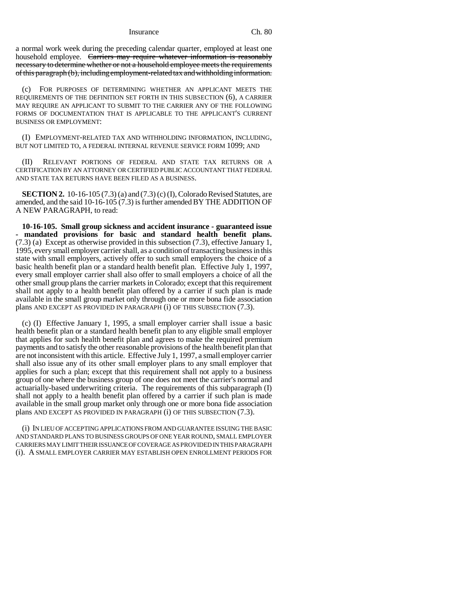Insurance Ch. 80

a normal work week during the preceding calendar quarter, employed at least one household employee. Carriers may require whatever information is reasonably necessary to determine whether or not a household employee meets the requirements of this paragraph (b), including employment-related tax and withholding information.

(c) FOR PURPOSES OF DETERMINING WHETHER AN APPLICANT MEETS THE REQUIREMENTS OF THE DEFINITION SET FORTH IN THIS SUBSECTION (6), A CARRIER MAY REQUIRE AN APPLICANT TO SUBMIT TO THE CARRIER ANY OF THE FOLLOWING FORMS OF DOCUMENTATION THAT IS APPLICABLE TO THE APPLICANT'S CURRENT BUSINESS OR EMPLOYMENT:

(I) EMPLOYMENT-RELATED TAX AND WITHHOLDING INFORMATION, INCLUDING, BUT NOT LIMITED TO, A FEDERAL INTERNAL REVENUE SERVICE FORM 1099; AND

(II) RELEVANT PORTIONS OF FEDERAL AND STATE TAX RETURNS OR A CERTIFICATION BY AN ATTORNEY OR CERTIFIED PUBLIC ACCOUNTANT THAT FEDERAL AND STATE TAX RETURNS HAVE BEEN FILED AS A BUSINESS.

**SECTION 2.** 10-16-105 (7.3) (a) and (7.3) (c) (I), Colorado Revised Statutes, are amended, and the said 10-16-105 (7.3) is further amended BY THE ADDITION OF A NEW PARAGRAPH, to read:

**10-16-105. Small group sickness and accident insurance - guaranteed issue - mandated provisions for basic and standard health benefit plans.** (7.3) (a) Except as otherwise provided in this subsection (7.3), effective January 1, 1995, every small employer carrier shall, as a condition of transacting business in this state with small employers, actively offer to such small employers the choice of a basic health benefit plan or a standard health benefit plan. Effective July 1, 1997, every small employer carrier shall also offer to small employers a choice of all the other small group plans the carrier markets in Colorado; except that this requirement shall not apply to a health benefit plan offered by a carrier if such plan is made available in the small group market only through one or more bona fide association plans AND EXCEPT AS PROVIDED IN PARAGRAPH (i) OF THIS SUBSECTION (7.3).

(c) (I) Effective January 1, 1995, a small employer carrier shall issue a basic health benefit plan or a standard health benefit plan to any eligible small employer that applies for such health benefit plan and agrees to make the required premium payments and to satisfy the other reasonable provisions of the health benefit plan that are not inconsistent with this article. Effective July 1, 1997, a small employer carrier shall also issue any of its other small employer plans to any small employer that applies for such a plan; except that this requirement shall not apply to a business group of one where the business group of one does not meet the carrier's normal and actuarially-based underwriting criteria. The requirements of this subparagraph (I) shall not apply to a health benefit plan offered by a carrier if such plan is made available in the small group market only through one or more bona fide association plans AND EXCEPT AS PROVIDED IN PARAGRAPH (i) OF THIS SUBSECTION (7.3).

(i) IN LIEU OF ACCEPTING APPLICATIONS FROM AND GUARANTEE ISSUING THE BASIC AND STANDARD PLANS TO BUSINESS GROUPS OF ONE YEAR ROUND, SMALL EMPLOYER CARRIERS MAY LIMIT THEIR ISSUANCE OF COVERAGE AS PROVIDED IN THIS PARAGRAPH (i). A SMALL EMPLOYER CARRIER MAY ESTABLISH OPEN ENROLLMENT PERIODS FOR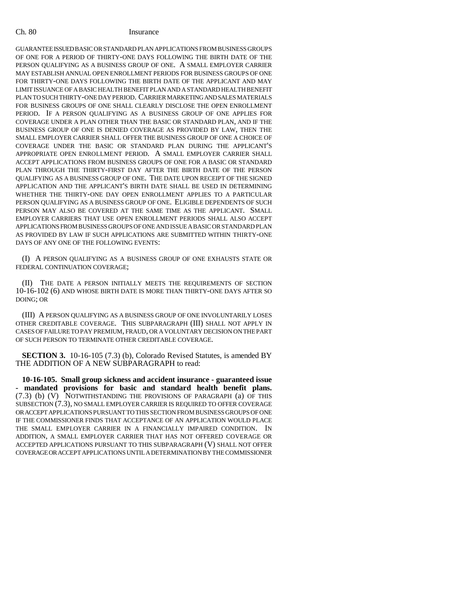## Ch. 80 Insurance

GUARANTEE ISSUED BASIC OR STANDARD PLAN APPLICATIONS FROM BUSINESS GROUPS OF ONE FOR A PERIOD OF THIRTY-ONE DAYS FOLLOWING THE BIRTH DATE OF THE PERSON QUALIFYING AS A BUSINESS GROUP OF ONE. A SMALL EMPLOYER CARRIER MAY ESTABLISH ANNUAL OPEN ENROLLMENT PERIODS FOR BUSINESS GROUPS OF ONE FOR THIRTY-ONE DAYS FOLLOWING THE BIRTH DATE OF THE APPLICANT AND MAY LIMIT ISSUANCE OF A BASIC HEALTH BENEFIT PLAN AND A STANDARD HEALTH BENEFIT PLAN TO SUCH THIRTY-ONE DAY PERIOD. CARRIER MARKETING AND SALES MATERIALS FOR BUSINESS GROUPS OF ONE SHALL CLEARLY DISCLOSE THE OPEN ENROLLMENT PERIOD. IF A PERSON QUALIFYING AS A BUSINESS GROUP OF ONE APPLIES FOR COVERAGE UNDER A PLAN OTHER THAN THE BASIC OR STANDARD PLAN, AND IF THE BUSINESS GROUP OF ONE IS DENIED COVERAGE AS PROVIDED BY LAW, THEN THE SMALL EMPLOYER CARRIER SHALL OFFER THE BUSINESS GROUP OF ONE A CHOICE OF COVERAGE UNDER THE BASIC OR STANDARD PLAN DURING THE APPLICANT'S APPROPRIATE OPEN ENROLLMENT PERIOD. A SMALL EMPLOYER CARRIER SHALL ACCEPT APPLICATIONS FROM BUSINESS GROUPS OF ONE FOR A BASIC OR STANDARD PLAN THROUGH THE THIRTY-FIRST DAY AFTER THE BIRTH DATE OF THE PERSON QUALIFYING AS A BUSINESS GROUP OF ONE. THE DATE UPON RECEIPT OF THE SIGNED APPLICATION AND THE APPLICANT'S BIRTH DATE SHALL BE USED IN DETERMINING WHETHER THE THIRTY-ONE DAY OPEN ENROLLMENT APPLIES TO A PARTICULAR PERSON QUALIFYING AS A BUSINESS GROUP OF ONE. ELIGIBLE DEPENDENTS OF SUCH PERSON MAY ALSO BE COVERED AT THE SAME TIME AS THE APPLICANT. SMALL EMPLOYER CARRIERS THAT USE OPEN ENROLLMENT PERIODS SHALL ALSO ACCEPT APPLICATIONS FROM BUSINESS GROUPS OF ONE AND ISSUE A BASIC OR STANDARD PLAN AS PROVIDED BY LAW IF SUCH APPLICATIONS ARE SUBMITTED WITHIN THIRTY-ONE DAYS OF ANY ONE OF THE FOLLOWING EVENTS:

(I) A PERSON QUALIFYING AS A BUSINESS GROUP OF ONE EXHAUSTS STATE OR FEDERAL CONTINUATION COVERAGE;

(II) THE DATE A PERSON INITIALLY MEETS THE REQUIREMENTS OF SECTION 10-16-102 (6) AND WHOSE BIRTH DATE IS MORE THAN THIRTY-ONE DAYS AFTER SO DOING; OR

(III) A PERSON QUALIFYING AS A BUSINESS GROUP OF ONE INVOLUNTARILY LOSES OTHER CREDITABLE COVERAGE. THIS SUBPARAGRAPH (III) SHALL NOT APPLY IN CASES OF FAILURE TO PAY PREMIUM, FRAUD, OR A VOLUNTARY DECISION ON THE PART OF SUCH PERSON TO TERMINATE OTHER CREDITABLE COVERAGE.

**SECTION 3.** 10-16-105 (7.3) (b), Colorado Revised Statutes, is amended BY THE ADDITION OF A NEW SUBPARAGRAPH to read:

**10-16-105. Small group sickness and accident insurance - guaranteed issue - mandated provisions for basic and standard health benefit plans.** (7.3) (b) (V) NOTWITHSTANDING THE PROVISIONS OF PARAGRAPH (a) OF THIS SUBSECTION (7.3), NO SMALL EMPLOYER CARRIER IS REQUIRED TO OFFER COVERAGE OR ACCEPT APPLICATIONS PURSUANT TO THIS SECTION FROM BUSINESS GROUPS OF ONE IF THE COMMISSIONER FINDS THAT ACCEPTANCE OF AN APPLICATION WOULD PLACE THE SMALL EMPLOYER CARRIER IN A FINANCIALLY IMPAIRED CONDITION. IN ADDITION, A SMALL EMPLOYER CARRIER THAT HAS NOT OFFERED COVERAGE OR ACCEPTED APPLICATIONS PURSUANT TO THIS SUBPARAGRAPH (V) SHALL NOT OFFER COVERAGE OR ACCEPT APPLICATIONS UNTIL A DETERMINATION BY THE COMMISSIONER